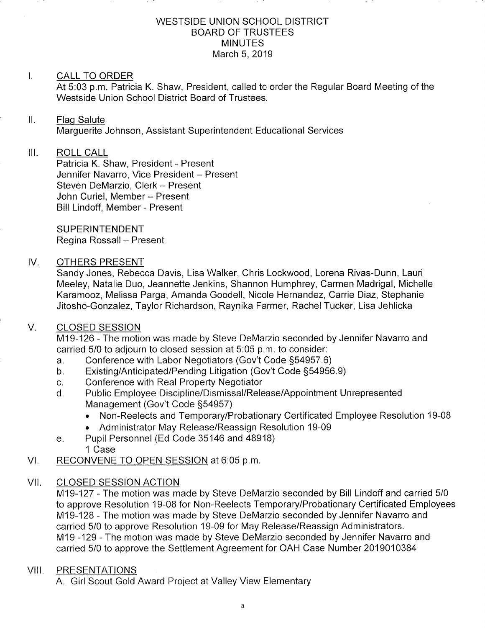#### WESTSIDE UNION SCHOOL DISTRICT BOARD OF TRUSTEES MINUTES March 5,2019

# I. CALL TO ORDER

At 5:03 p.m. Patricia K. Shaw, President, called to order the Regular Board Meeting of the Westside Union School District Board of Trustees.

#### $\mathbf{II}$ . Flaq Salute

Marguerite Johnson, Assistant Superintendent Educational Services

# III. ROLL CALL

Patricia K. Shaw, President - Present Jennifer Navarro, Vice President - Present Steven DeMarzio, Clerk - Present John Curiel, Member - Present Bill Lindoff, Member - Present

**SUPERINTENDENT** Regina Rossall - Present

#### IV. OTHERS PRESENT

Sandy Jones, Rebecca Davis, Lisa Walker, Chris Lockwood, Lorena Rivas-Dunn, Lauri Meeley, Natalie Duo, Jeannette Jenkins, Shannon Humphrey, Carmen Madrigal, Michelle Karamooz, Melissa Parga, Amanda Goodell, Nicole Hernandez, Carrie Diaz, Stephanie Jitosho-Gonzalez, Taylor Richardson, Raynika Farmer, Rachel Tucker, Lisa Jehlicka

#### V. CLOSED SESSION

M19-126 - The motion was made by Steve DeMarzio seconded by Jennifer Navarro and carried 5/0 to adjourn to closed session at 5:05 p.m. to consider:

- a. Conference with Labor Negotiators (Gov't Code §54957.6)<br>b. Existing/Anticipated/Pending Litigation (Gov't Code §54956.9)
- 
- 
- c. Conference with Real Property Negotiator<br>d. Public Employee Discipline/Dismissal/Release/Appointment Unrepresented Management (Gov't Code 554957)
	- . Non-Reelects and Temporary/Probationary Certificated Employee Resolution 19-08
	- . Administrator May Release/Reassign Resolution 19-09
- e. Pupil Personnel (Ed Code 35146 and 48918) 1 Case
- VI. RECONVENE TO OPEN SESSION at 6:05 p.m.

# VII. CLOSED SESSION ACTION

M19-127 - The motion was made by Steve DeMarzio seconded by Bill Lindoff and carried 5/0 to approve Resolution 19-08 for Non-Reelects Temporary/Probationary Certificated Employees M19-128 - The motion was made by Steve DeMarzio seconded by Jennifer Navarro and carried 5/0 to approve Resolution 19-09 for May Release/Reassign Administrators. M19 -129 - The motion was made by Steve DeMarzio seconded by Jennifer Navarro and carried 5/0 to approve the Settlement Agreement for OAH Case Number 2019010384

# VIII. PRESENTATIONS

A. Girl Scout Gold Award Project at Valley View Elementary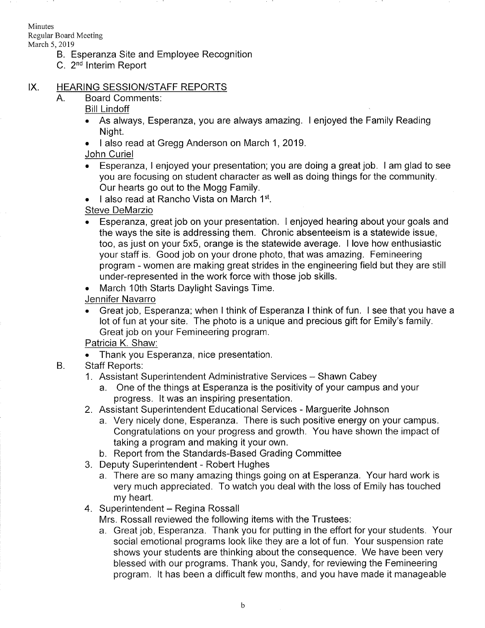Minutes

Regular Board Meeting

March 5,2019

- B. Esperanza Site and Employee Recognition
- C. 2nd lnterim Report

# IX. HEARING SESSION/STAFF REPORTS

Board Comments: A.

Bill Lindoff

- . As always, Esperanza, you are always amazing. I enjoyed the Family Reading Night.
- . I also read at Gregg Anderson on March 1,2019.
- John Curiel
- Esperanza, I enjoyed your presentation; you are doing a great job. I am glad to see you are focusing on student character as well as doing things for the community. Our hearts go out to the Mogg Family.
- $\bullet$  I also read at Rancho Vista on March 1st.

### Steve DeMarzio

- Esperanza, great job on your presentation. I enjoyed hearing about your goals and the ways the site is addressing them. Chronic absenteeism is a statewide issue, too, as just on your 5x5, orange is the statewide average. I love how enthusiastic your staff is. Good job on your drone photo, that was amazing. Femineering program - women are making great strides in the engineering field but they are still under-represented in the work force with those job skills.
- March 10th Starts Daylight Savings Time.
- Jennifer Navarro
- . Great job, Esperanza; when I think of Esperanza I think of fun. I see that you have <sup>a</sup> lot of fun at your site. The photo is a unique and precious gift for Emily's family. Great job on your Femineering program.

#### Patricia K. Shaw:

. Thank you Esperanza, nice presentation.

#### Staff Reports:  $B.$

- 1. Assistant Superintendent Administrative Services Shawn Cabey
	- a. One of the things at Esperanza is the positivity of your campus and your progress. lt was an inspiring presentation.
- 2. Assistant Superintendent Educational Services Marguerite Johnson
	- a. Very nicely done, Esperanza. There is such positive energy on your campus. Congratulations on your progress and growth. You have shown the impact of taking a program and making it your own. b. Report from the Standards-Based Grading Committee
	-
- 3. Deputy Superintendent Robert Hughes
	- a. There are so many amazing things going on at Esperanza. Your hard work is very much appreciated. To watch you deal with the loss of Emily has touched
- my heart.<br>4. Superintendent Regina Rossall

Mrs. Rossall reviewed the following items with the Trustees.

a. Great job, Esperanza. Thank you for putting in the effort for your students. Your social emotional programs look like they are a lot of fun. Your suspension rate shows your students are thinking about the consequence. We have been very blessed with our programs. Thank you, Sandy, for reviewing the Femineering program. lt has been a difficult few months, and you have made it manageable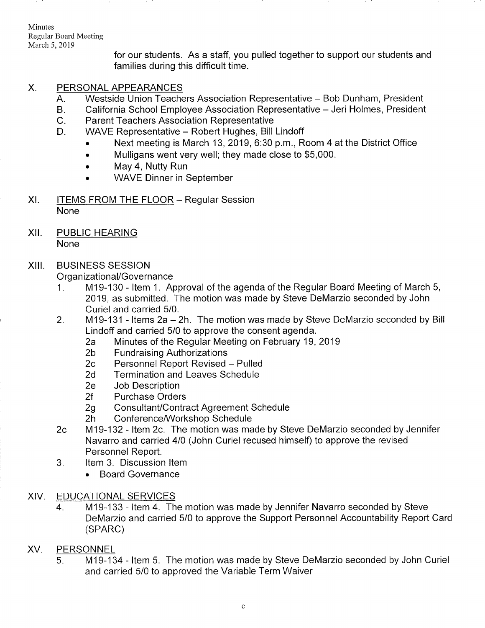Minutes Regular Board Meeting March 5,2019

> for our students. As a staff, you pulled together to support our students and families during this difficult time.

# X. PERSONAL APPEARANCES

- Westside Union Teachers Association Representative Bob Dunham, President  $A<sub>1</sub>$
- California School Employee Association Representative Jeri Holmes, President B
- Parent Teachers Association Representative  $C_{\cdot}$
- WAVE Representative Robert Hughes, Bill Lindoff D.
	- Next meeting is March 13, 2019, 6:30 p.m., Room 4 at the District Office
	- . Mulligans went very well; they made close to \$5,000.
	- . May 4, Nutty Run
	- . WAVE Dinner in September
- XI. ITEMS FROM THE FLOOR Regular Session None
- XII. PUBLIC HEARING

None

#### XIII. BUSINESS SESSION

- Organizational/Governance<br>1. M19-130 Item 1. Approval of the agenda of the Regular Board Meeting of March 5, 2019, as submitted. The motion was made by Steve DeMarzio seconded by John Curiel and carried 5/0.
- 2. M19-131 Items 2a 2h. The motion was made by Steve DeMarzio seconded by Bill<br>Lindoff and carried 5/0 to approve the consent agenda.
	- 2a Minutes of the Regular Meeting on February 19, 2019<br>2b Fundraising Authorizations<br>2c Personnel Report Revised Pulled<br>2d Termination and Leaves Schedule
	-
	-
	-
	-
	- 2e Job Description<br>2f Purchase Orders
	-
	-
- 2g Consultant/Contract Agreement Schedule<br>2h Conference/Workshop Schedule<br>2c M19-132 Item 2c. The motion was made by Steve DeMarzio seconded by Jennifer Navarro and carried 410 (John Curiel recused himself) to approve the revised Personnel Report.<br>3. ltem 3. Discussion Item
- - . Board Governance

# XIV. EDUCATIONALSERVICES

4. M19-133 - ltem 4. The motion was made by Jennifer Navarro seconded by Steve DeMarzio and carried 5/0 to approve the Support Personnel Accountability Report Card (SPARC)

# XV. PERSONNEL

M19-134 - ltem 5. The motion was made by Steve DeMarzio seconded by John Curiel and carried 5/0 to approved the Variable Term Waiver 5